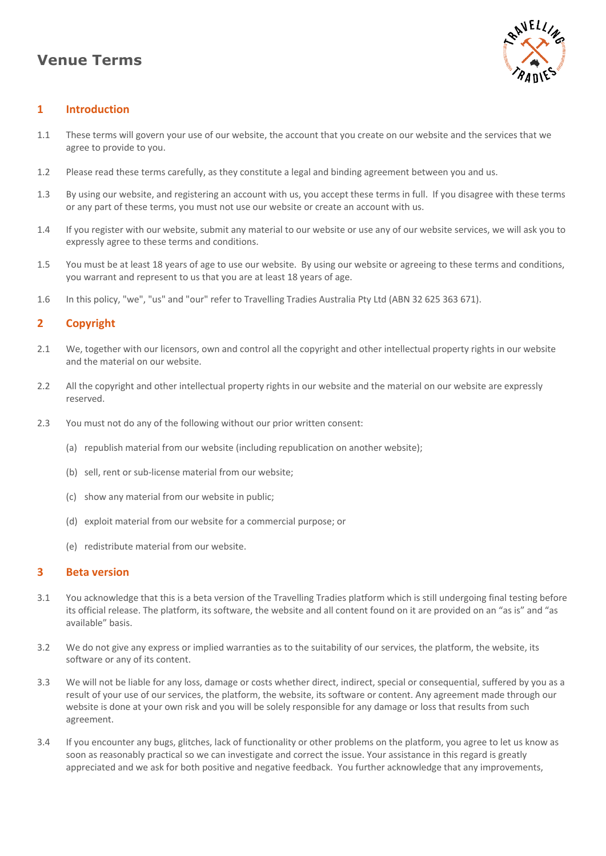# **Venue Terms**



# **1 Introduction**

- 1.1 These terms will govern your use of our website, the account that you create on our website and the services that we agree to provide to you.
- 1.2 Please read these terms carefully, as they constitute a legal and binding agreement between you and us.
- 1.3 By using our website, and registering an account with us, you accept these terms in full. If you disagree with these terms or any part of these terms, you must not use our website or create an account with us.
- 1.4 If you register with our website, submit any material to our website or use any of our website services, we will ask you to expressly agree to these terms and conditions.
- 1.5 You must be at least 18 years of age to use our website. By using our website or agreeing to these terms and conditions, you warrant and represent to us that you are at least 18 years of age.
- 1.6 In this policy, "we", "us" and "our" refer to Travelling Tradies Australia Pty Ltd (ABN 32 625 363 671).

# **2 Copyright**

- 2.1 We, together with our licensors, own and control all the copyright and other intellectual property rights in our website and the material on our website.
- 2.2 All the copyright and other intellectual property rights in our website and the material on our website are expressly reserved.
- 2.3 You must not do any of the following without our prior written consent:
	- (a) republish material from our website (including republication on another website);
	- (b) sell, rent or sub-license material from our website;
	- (c) show any material from our website in public;
	- (d) exploit material from our website for a commercial purpose; or
	- (e) redistribute material from our website.

#### **3 Beta version**

- 3.1 You acknowledge that this is a beta version of the Travelling Tradies platform which is still undergoing final testing before its official release. The platform, its software, the website and all content found on it are provided on an "as is" and "as available" basis.
- 3.2 We do not give any express or implied warranties as to the suitability of our services, the platform, the website, its software or any of its content.
- 3.3 We will not be liable for any loss, damage or costs whether direct, indirect, special or consequential, suffered by you as a result of your use of our services, the platform, the website, its software or content. Any agreement made through our website is done at your own risk and you will be solely responsible for any damage or loss that results from such agreement.
- 3.4 If you encounter any bugs, glitches, lack of functionality or other problems on the platform, you agree to let us know as soon as reasonably practical so we can investigate and correct the issue. Your assistance in this regard is greatly appreciated and we ask for both positive and negative feedback. You further acknowledge that any improvements,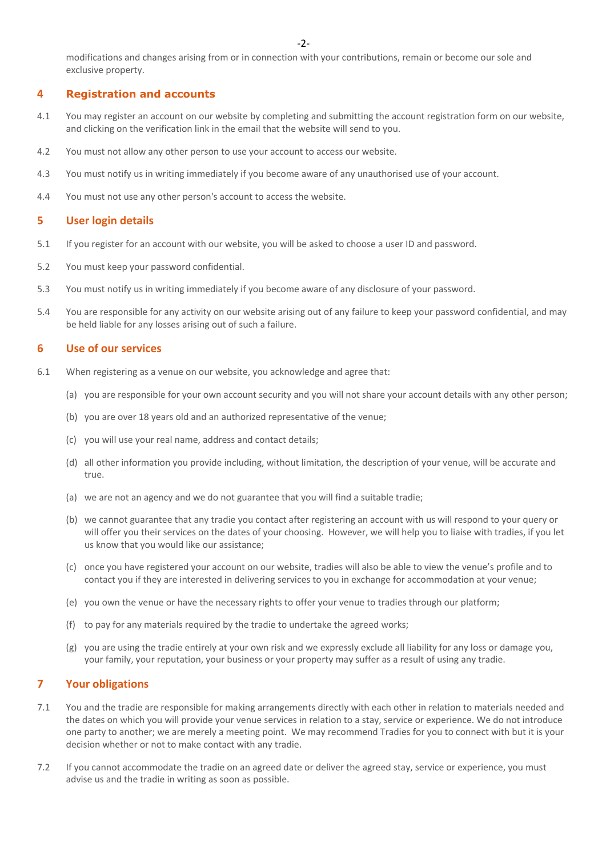modifications and changes arising from or in connection with your contributions, remain or become our sole and exclusive property.

#### **4 Registration and accounts**

- 4.1 You may register an account on our website by completing and submitting the account registration form on our website, and clicking on the verification link in the email that the website will send to you.
- 4.2 You must not allow any other person to use your account to access our website.
- 4.3 You must notify us in writing immediately if you become aware of any unauthorised use of your account.
- 4.4 You must not use any other person's account to access the website.

#### **5 User login details**

- 5.1 If you register for an account with our website, you will be asked to choose a user ID and password.
- 5.2 You must keep your password confidential.
- 5.3 You must notify us in writing immediately if you become aware of any disclosure of your password.
- 5.4 You are responsible for any activity on our website arising out of any failure to keep your password confidential, and may be held liable for any losses arising out of such a failure.

#### **6 Use of our services**

- 6.1 When registering as a venue on our website, you acknowledge and agree that:
	- (a) you are responsible for your own account security and you will not share your account details with any other person;
	- (b) you are over 18 years old and an authorized representative of the venue;
	- (c) you will use your real name, address and contact details;
	- (d) all other information you provide including, without limitation, the description of your venue, will be accurate and true.
	- (a) we are not an agency and we do not guarantee that you will find a suitable tradie;
	- (b) we cannot guarantee that any tradie you contact after registering an account with us will respond to your query or will offer you their services on the dates of your choosing. However, we will help you to liaise with tradies, if you let us know that you would like our assistance;
	- (c) once you have registered your account on our website, tradies will also be able to view the venue's profile and to contact you if they are interested in delivering services to you in exchange for accommodation at your venue;
	- (e) you own the venue or have the necessary rights to offer your venue to tradies through our platform;
	- (f) to pay for any materials required by the tradie to undertake the agreed works;
	- (g) you are using the tradie entirely at your own risk and we expressly exclude all liability for any loss or damage you, your family, your reputation, your business or your property may suffer as a result of using any tradie.

# **7 Your obligations**

- 7.1 You and the tradie are responsible for making arrangements directly with each other in relation to materials needed and the dates on which you will provide your venue services in relation to a stay, service or experience. We do not introduce one party to another; we are merely a meeting point. We may recommend Tradies for you to connect with but it is your decision whether or not to make contact with any tradie.
- 7.2 If you cannot accommodate the tradie on an agreed date or deliver the agreed stay, service or experience, you must advise us and the tradie in writing as soon as possible.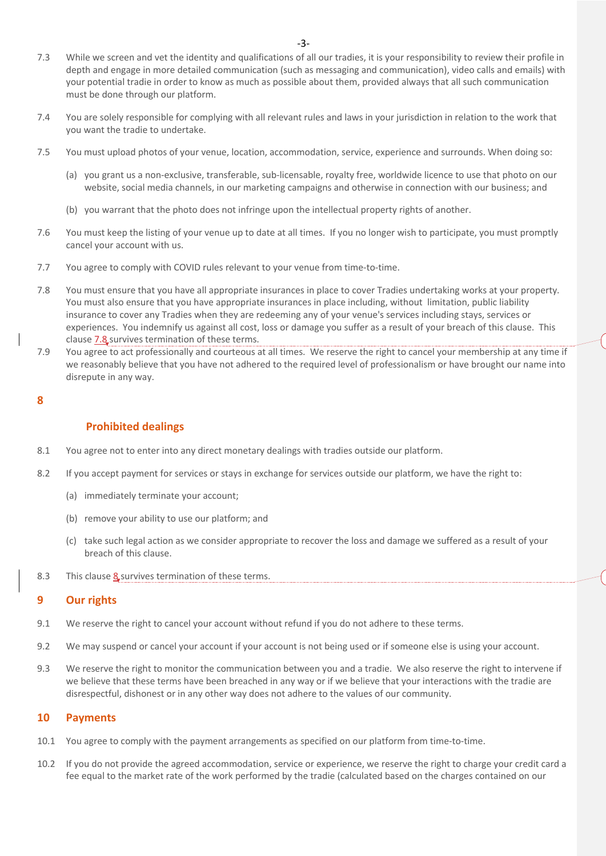- 7.3 While we screen and vet the identity and qualifications of all our tradies, it is your responsibility to review their profile in depth and engage in more detailed communication (such as messaging and communication), video calls and emails) with your potential tradie in order to know as much as possible about them, provided always that all such communication must be done through our platform.
- 7.4 You are solely responsible for complying with all relevant rules and laws in your jurisdiction in relation to the work that you want the tradie to undertake.
- 7.5 You must upload photos of your venue, location, accommodation, service, experience and surrounds. When doing so:
	- (a) you grant us a non-exclusive, transferable, sub-licensable, royalty free, worldwide licence to use that photo on our website, social media channels, in our marketing campaigns and otherwise in connection with our business; and
	- (b) you warrant that the photo does not infringe upon the intellectual property rights of another.
- 7.6 You must keep the listing of your venue up to date at all times. If you no longer wish to participate, you must promptly cancel your account with us.
- 7.7 You agree to comply with COVID rules relevant to your venue from time-to-time.
- 7.8 You must ensure that you have all appropriate insurances in place to cover Tradies undertaking works at your property. You must also ensure that you have appropriate insurances in place including, without limitation, public liability insurance to cover any Tradies when they are redeeming any of your venue's services including stays, services or experiences. You indemnify us against all cost, loss or damage you suffer as a result of your breach of this clause. This clause 7.8 survives termination of these terms.
- 7.9 You agree to act professionally and courteous at all times. We reserve the right to cancel your membership at any time if we reasonably believe that you have not adhered to the required level of professionalism or have brought our name into disrepute in any way.

#### **8**

# **Prohibited dealings**

- 8.1 You agree not to enter into any direct monetary dealings with tradies outside our platform.
- 8.2 If you accept payment for services or stays in exchange for services outside our platform, we have the right to:
	- (a) immediately terminate your account;
	- (b) remove your ability to use our platform; and
	- (c) take such legal action as we consider appropriate to recover the loss and damage we suffered as a result of your breach of this clause.
- 8.3 This clause **8** survives termination of these terms.

# **9 Our rights**

- 9.1 We reserve the right to cancel your account without refund if you do not adhere to these terms.
- 9.2 We may suspend or cancel your account if your account is not being used or if someone else is using your account.
- 9.3 We reserve the right to monitor the communication between you and a tradie. We also reserve the right to intervene if we believe that these terms have been breached in any way or if we believe that your interactions with the tradie are disrespectful, dishonest or in any other way does not adhere to the values of our community.

## **10 Payments**

- 10.1 You agree to comply with the payment arrangements as specified on our platform from time-to-time.
- 10.2 If you do not provide the agreed accommodation, service or experience, we reserve the right to charge your credit card a fee equal to the market rate of the work performed by the tradie (calculated based on the charges contained on our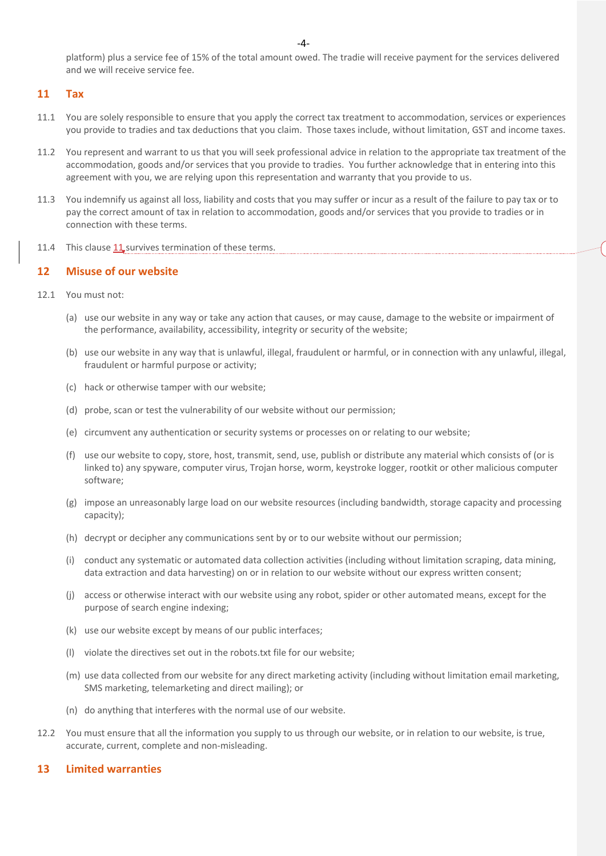-4-

platform) plus a service fee of 15% of the total amount owed. The tradie will receive payment for the services delivered and we will receive service fee.

## **11 Tax**

- 11.1 You are solely responsible to ensure that you apply the correct tax treatment to accommodation, services or experiences you provide to tradies and tax deductions that you claim. Those taxes include, without limitation, GST and income taxes.
- 11.2 You represent and warrant to us that you will seek professional advice in relation to the appropriate tax treatment of the accommodation, goods and/or services that you provide to tradies. You further acknowledge that in entering into this agreement with you, we are relying upon this representation and warranty that you provide to us.
- 11.3 You indemnify us against all loss, liability and costs that you may suffer or incur as a result of the failure to pay tax or to pay the correct amount of tax in relation to accommodation, goods and/or services that you provide to tradies or in connection with these terms.
- 11.4 This clause 11 survives termination of these terms.

## **12 Misuse of our website**

- 12.1 You must not:
	- (a) use our website in any way or take any action that causes, or may cause, damage to the website or impairment of the performance, availability, accessibility, integrity or security of the website;
	- (b) use our website in any way that is unlawful, illegal, fraudulent or harmful, or in connection with any unlawful, illegal, fraudulent or harmful purpose or activity;
	- (c) hack or otherwise tamper with our website;
	- (d) probe, scan or test the vulnerability of our website without our permission;
	- (e) circumvent any authentication or security systems or processes on or relating to our website;
	- (f) use our website to copy, store, host, transmit, send, use, publish or distribute any material which consists of (or is linked to) any spyware, computer virus, Trojan horse, worm, keystroke logger, rootkit or other malicious computer software;
	- (g) impose an unreasonably large load on our website resources (including bandwidth, storage capacity and processing capacity);
	- (h) decrypt or decipher any communications sent by or to our website without our permission;
	- (i) conduct any systematic or automated data collection activities (including without limitation scraping, data mining, data extraction and data harvesting) on or in relation to our website without our express written consent;
	- (j) access or otherwise interact with our website using any robot, spider or other automated means, except for the purpose of search engine indexing;
	- (k) use our website except by means of our public interfaces;
	- (l) violate the directives set out in the robots.txt file for our website;
	- (m) use data collected from our website for any direct marketing activity (including without limitation email marketing, SMS marketing, telemarketing and direct mailing); or
	- (n) do anything that interferes with the normal use of our website.
- 12.2 You must ensure that all the information you supply to us through our website, or in relation to our website, is true, accurate, current, complete and non-misleading.

#### **13 Limited warranties**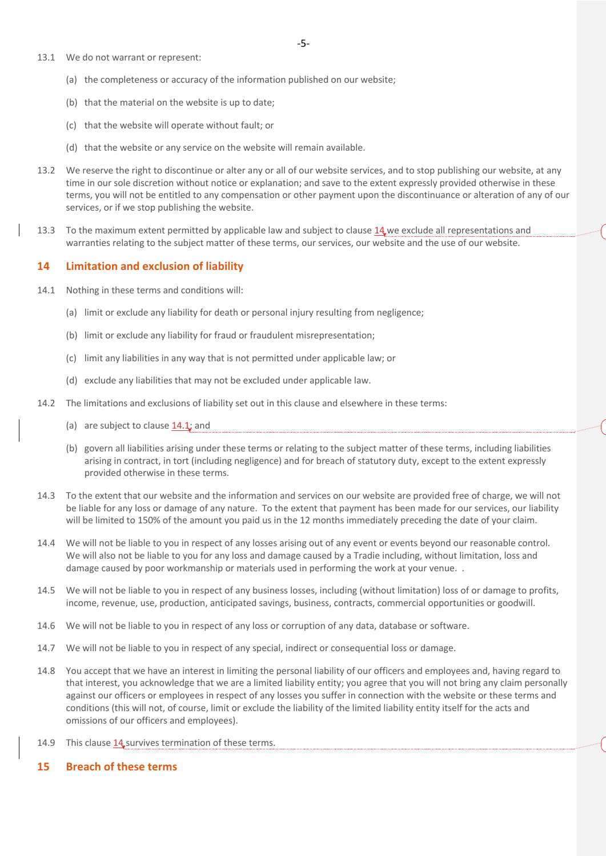- 13.1 We do not warrant or represent:
	- (a) the completeness or accuracy of the information published on our website;
	- (b) that the material on the website is up to date;
	- (c) that the website will operate without fault; or
	- (d) that the website or any service on the website will remain available.
- 13.2 We reserve the right to discontinue or alter any or all of our website services, and to stop publishing our website, at any time in our sole discretion without notice or explanation; and save to the extent expressly provided otherwise in these terms, you will not be entitled to any compensation or other payment upon the discontinuance or alteration of any of our services, or if we stop publishing the website.
- 13.3 To the maximum extent permitted by applicable law and subject to clause 14 we exclude all representations and warranties relating to the subject matter of these terms, our services, our website and the use of our website.

#### **14 Limitation and exclusion of liability**

- 14.1 Nothing in these terms and conditions will:
	- (a) limit or exclude any liability for death or personal injury resulting from negligence;
	- (b) limit or exclude any liability for fraud or fraudulent misrepresentation;
	- (c) limit any liabilities in any way that is not permitted under applicable law; or
	- (d) exclude any liabilities that may not be excluded under applicable law.
- 14.2 The limitations and exclusions of liability set out in this clause and elsewhere in these terms:
	- (a) are subject to clause  $14.1$ ; and
	- (b) govern all liabilities arising under these terms or relating to the subject matter of these terms, including liabilities arising in contract, in tort (including negligence) and for breach of statutory duty, except to the extent expressly provided otherwise in these terms.
- 14.3 To the extent that our website and the information and services on our website are provided free of charge, we will not be liable for any loss or damage of any nature. To the extent that payment has been made for our services, our liability will be limited to 150% of the amount you paid us in the 12 months immediately preceding the date of your claim.
- 14.4 We will not be liable to you in respect of any losses arising out of any event or events beyond our reasonable control. We will also not be liable to you for any loss and damage caused by a Tradie including, without limitation, loss and damage caused by poor workmanship or materials used in performing the work at your venue. .
- 14.5 We will not be liable to you in respect of any business losses, including (without limitation) loss of or damage to profits, income, revenue, use, production, anticipated savings, business, contracts, commercial opportunities or goodwill.
- 14.6 We will not be liable to you in respect of any loss or corruption of any data, database or software.
- 14.7 We will not be liable to you in respect of any special, indirect or consequential loss or damage.
- 14.8 You accept that we have an interest in limiting the personal liability of our officers and employees and, having regard to that interest, you acknowledge that we are a limited liability entity; you agree that you will not bring any claim personally against our officers or employees in respect of any losses you suffer in connection with the website or these terms and conditions (this will not, of course, limit or exclude the liability of the limited liability entity itself for the acts and omissions of our officers and employees).
- 14.9 This clause 14 survives termination of these terms.
- **15 Breach of these terms**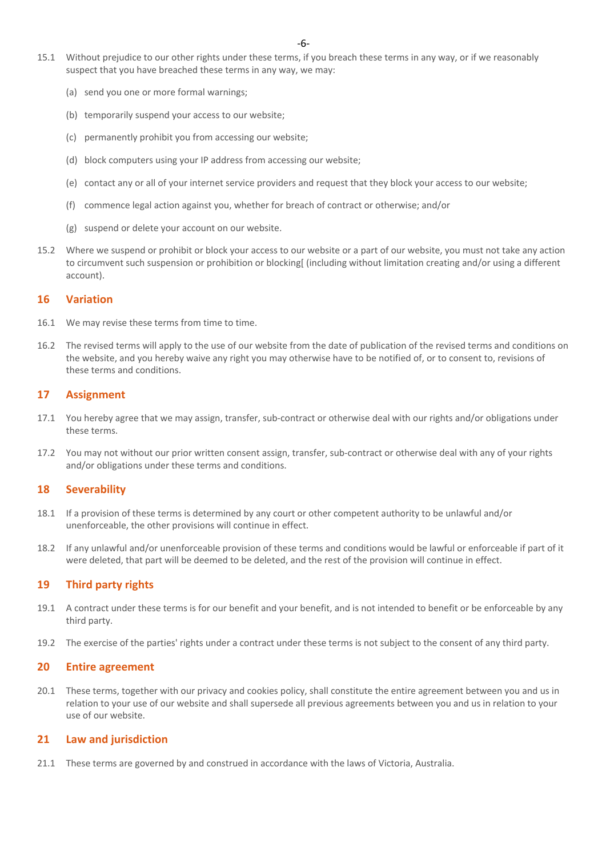- 15.1 Without prejudice to our other rights under these terms, if you breach these terms in any way, or if we reasonably suspect that you have breached these terms in any way, we may:
	- (a) send you one or more formal warnings;
	- (b) temporarily suspend your access to our website;
	- (c) permanently prohibit you from accessing our website;
	- (d) block computers using your IP address from accessing our website;
	- (e) contact any or all of your internet service providers and request that they block your access to our website;
	- (f) commence legal action against you, whether for breach of contract or otherwise; and/or
	- (g) suspend or delete your account on our website.
- 15.2 Where we suspend or prohibit or block your access to our website or a part of our website, you must not take any action to circumvent such suspension or prohibition or blocking (including without limitation creating and/or using a different account).

#### **16 Variation**

- 16.1 We may revise these terms from time to time.
- 16.2 The revised terms will apply to the use of our website from the date of publication of the revised terms and conditions on the website, and you hereby waive any right you may otherwise have to be notified of, or to consent to, revisions of these terms and conditions.

## **17 Assignment**

- 17.1 You hereby agree that we may assign, transfer, sub-contract or otherwise deal with our rights and/or obligations under these terms.
- 17.2 You may not without our prior written consent assign, transfer, sub-contract or otherwise deal with any of your rights and/or obligations under these terms and conditions.

## **18 Severability**

- 18.1 If a provision of these terms is determined by any court or other competent authority to be unlawful and/or unenforceable, the other provisions will continue in effect.
- 18.2 If any unlawful and/or unenforceable provision of these terms and conditions would be lawful or enforceable if part of it were deleted, that part will be deemed to be deleted, and the rest of the provision will continue in effect.

## **19 Third party rights**

- 19.1 A contract under these terms is for our benefit and your benefit, and is not intended to benefit or be enforceable by any third party.
- 19.2 The exercise of the parties' rights under a contract under these terms is not subject to the consent of any third party.

#### **20 Entire agreement**

20.1 These terms, together with our privacy and cookies policy, shall constitute the entire agreement between you and us in relation to your use of our website and shall supersede all previous agreements between you and us in relation to your use of our website.

# **21 Law and jurisdiction**

21.1 These terms are governed by and construed in accordance with the laws of Victoria, Australia.